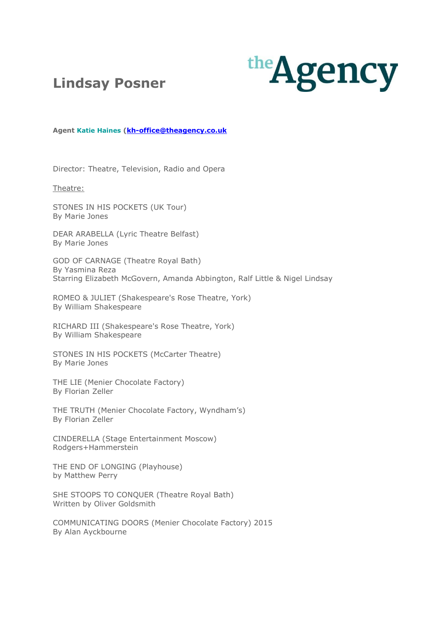



**Agent [Katie Haines](mailto:kh-office@theagency.co.uk) [\(kh-office@theagency.co.uk](mailto:kh-office@theagency.co.uk)**

Director: Theatre, Television, Radio and Opera

Theatre:

STONES IN HIS POCKETS (UK Tour) By Marie Jones

DEAR ARABELLA (Lyric Theatre Belfast) By Marie Jones

GOD OF CARNAGE (Theatre Royal Bath) By Yasmina Reza Starring Elizabeth McGovern, Amanda Abbington, Ralf Little & Nigel Lindsay

ROMEO & JULIET (Shakespeare's Rose Theatre, York) By William Shakespeare

RICHARD III (Shakespeare's Rose Theatre, York) By William Shakespeare

STONES IN HIS POCKETS (McCarter Theatre) By Marie Jones

THE LIE (Menier Chocolate Factory) By Florian Zeller

THE TRUTH (Menier Chocolate Factory, Wyndham's) By Florian Zeller

CINDERELLA (Stage Entertainment Moscow) Rodgers+Hammerstein

THE END OF LONGING (Playhouse) by Matthew Perry

SHE STOOPS TO CONQUER (Theatre Royal Bath) Written by Oliver Goldsmith

COMMUNICATING DOORS (Menier Chocolate Factory) 2015 By Alan Ayckbourne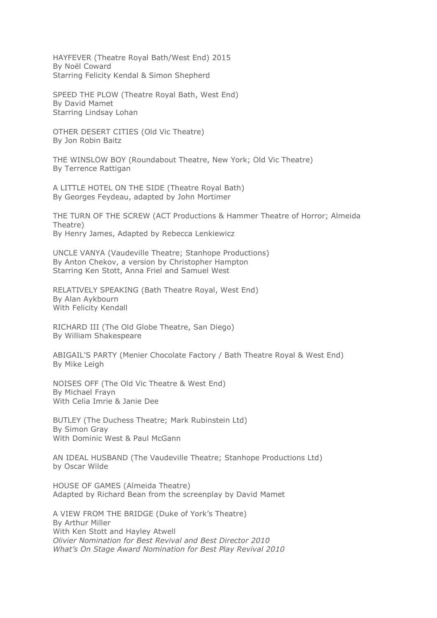HAYFEVER (Theatre Royal Bath/West End) 2015 By Noël Coward Starring Felicity Kendal & Simon Shepherd

SPEED THE PLOW (Theatre Royal Bath, West End) By David Mamet Starring Lindsay Lohan

OTHER DESERT CITIES (Old Vic Theatre) By Jon Robin Baitz

THE WINSLOW BOY (Roundabout Theatre, New York; Old Vic Theatre) By Terrence Rattigan

A LITTLE HOTEL ON THE SIDE (Theatre Royal Bath) By Georges Feydeau, adapted by John Mortimer

THE TURN OF THE SCREW (ACT Productions & Hammer Theatre of Horror; Almeida Theatre) By Henry James, Adapted by Rebecca Lenkiewicz

UNCLE VANYA (Vaudeville Theatre; Stanhope Productions) By Anton Chekov, a version by Christopher Hampton Starring Ken Stott, Anna Friel and Samuel West

RELATIVELY SPEAKING (Bath Theatre Royal, West End) By Alan Aykbourn With Felicity Kendall

RICHARD III (The Old Globe Theatre, San Diego) By William Shakespeare

ABIGAIL'S PARTY (Menier Chocolate Factory / Bath Theatre Royal & West End) By Mike Leigh

NOISES OFF (The Old Vic Theatre & West End) By Michael Frayn With Celia Imrie & Janie Dee

BUTLEY (The Duchess Theatre; Mark Rubinstein Ltd) By Simon Gray With Dominic West & Paul McGann

AN IDEAL HUSBAND (The Vaudeville Theatre; Stanhope Productions Ltd) by Oscar Wilde

HOUSE OF GAMES (Almeida Theatre) Adapted by Richard Bean from the screenplay by David Mamet

A VIEW FROM THE BRIDGE (Duke of York's Theatre) By Arthur Miller With Ken Stott and Hayley Atwell *Olivier Nomination for Best Revival and Best Director 2010 What's On Stage Award Nomination for Best Play Revival 2010*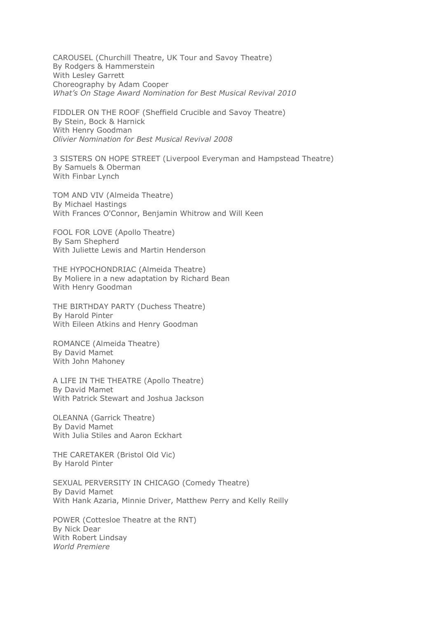CAROUSEL (Churchill Theatre, UK Tour and Savoy Theatre) By Rodgers & Hammerstein With Lesley Garrett Choreography by Adam Cooper *What's On Stage Award Nomination for Best Musical Revival 2010*

FIDDLER ON THE ROOF (Sheffield Crucible and Savoy Theatre) By Stein, Bock & Harnick With Henry Goodman *Olivier Nomination for Best Musical Revival 2008*

3 SISTERS ON HOPE STREET (Liverpool Everyman and Hampstead Theatre) By Samuels & Oberman With Finbar Lynch

TOM AND VIV (Almeida Theatre) By Michael Hastings With Frances O'Connor, Benjamin Whitrow and Will Keen

FOOL FOR LOVE (Apollo Theatre) By Sam Shepherd With Juliette Lewis and Martin Henderson

THE HYPOCHONDRIAC (Almeida Theatre) By Moliere in a new adaptation by Richard Bean With Henry Goodman

THE BIRTHDAY PARTY (Duchess Theatre) By Harold Pinter With Eileen Atkins and Henry Goodman

ROMANCE (Almeida Theatre) By David Mamet With John Mahoney

A LIFE IN THE THEATRE (Apollo Theatre) By David Mamet With Patrick Stewart and Joshua Jackson

OLEANNA (Garrick Theatre) By David Mamet With Julia Stiles and Aaron Eckhart

THE CARETAKER (Bristol Old Vic) By Harold Pinter

SEXUAL PERVERSITY IN CHICAGO (Comedy Theatre) By David Mamet With Hank Azaria, Minnie Driver, Matthew Perry and Kelly Reilly

POWER (Cottesloe Theatre at the RNT) By Nick Dear With Robert Lindsay *World Premiere*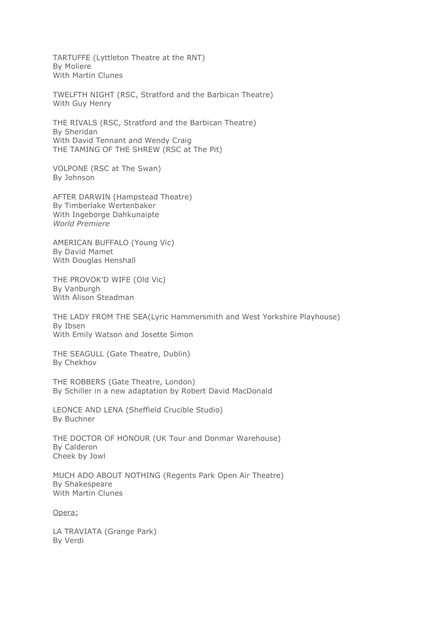TARTUFFE (Lyttleton Theatre at the RNT) By Moliere With Martin Clunes

TWELFTH NIGHT (RSC, Stratford and the Barbican Theatre) With Guy Henry

THE RIVALS (RSC, Stratford and the Barbican Theatre) By Sheridan With David Tennant and Wendy Craig THE TAMING OF THE SHREW (RSC at The Pit)

VOLPONE (RSC at The Swan) By Johnson

AFTER DARWIN (Hampstead Theatre) By Timberlake Wertenbaker With Ingeborge Dahkunaipte *World Premiere*

AMERICAN BUFFALO (Young Vic) By David Mamet With Douglas Henshall

THE PROVOK'D WIFE (Old Vic) By Vanburgh With Alison Steadman

THE LADY FROM THE SEA(Lyric Hammersmith and West Yorkshire Playhouse) By Ibsen With Emily Watson and Josette Simon

THE SEAGULL (Gate Theatre, Dublin) By Chekhov

THE ROBBERS (Gate Theatre, London) By Schiller in a new adaptation by Robert David MacDonald

LEONCE AND LENA (Sheffield Crucible Studio) By Buchner

THE DOCTOR OF HONOUR (UK Tour and Donmar Warehouse) By Calderon Cheek by Jowl

MUCH ADO ABOUT NOTHING (Regents Park Open Air Theatre) By Shakespeare With Martin Clunes

Opera:

LA TRAVIATA (Grange Park) By Verdi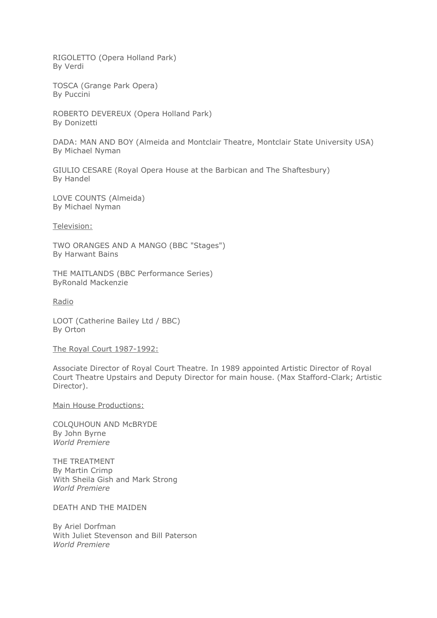RIGOLETTO (Opera Holland Park) By Verdi

TOSCA (Grange Park Opera) By Puccini

ROBERTO DEVEREUX (Opera Holland Park) By Donizetti

DADA: MAN AND BOY (Almeida and Montclair Theatre, Montclair State University USA) By Michael Nyman

GIULIO CESARE (Royal Opera House at the Barbican and The Shaftesbury) By Handel

LOVE COUNTS (Almeida) By Michael Nyman

Television:

TWO ORANGES AND A MANGO (BBC "Stages") By Harwant Bains

THE MAITLANDS (BBC Performance Series) ByRonald Mackenzie

Radio

LOOT (Catherine Bailey Ltd / BBC) By Orton

The Royal Court 1987-1992:

Associate Director of Royal Court Theatre. In 1989 appointed Artistic Director of Royal Court Theatre Upstairs and Deputy Director for main house. (Max Stafford-Clark; Artistic Director).

Main House Productions:

COLQUHOUN AND McBRYDE By John Byrne *World Premiere*

THE TREATMENT By Martin Crimp With Sheila Gish and Mark Strong *World Premiere*

DEATH AND THE MAIDEN

By Ariel Dorfman With Juliet Stevenson and Bill Paterson *World Premiere*